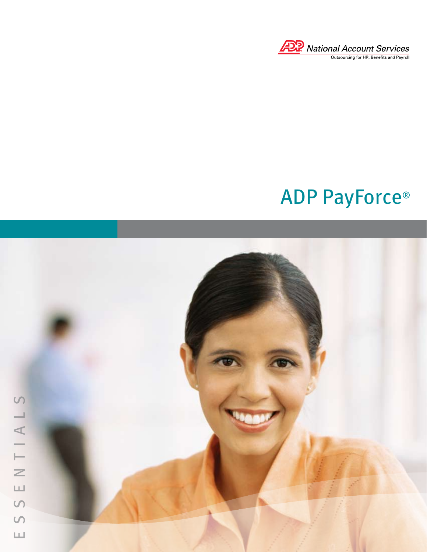

# ADP PayForce®

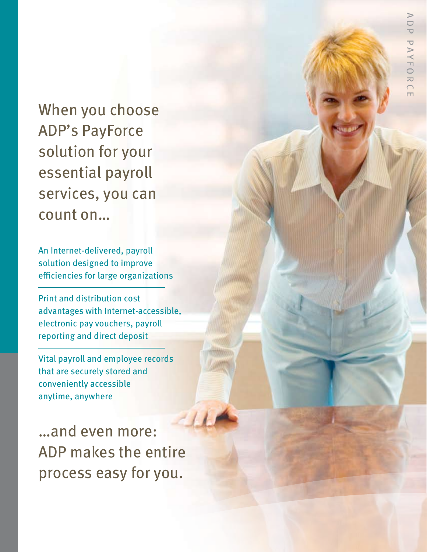When you choose ADP's PayForce solution for your essential payroll services, you can count on…

An Internet-delivered, payroll solution designed to improve efficiencies for large organizations

Print and distribution cost advantages with Internet-accessible, electronic pay vouchers, payroll reporting and direct deposit

Vital payroll and employee records that are securely stored and conveniently accessible anytime, anywhere

…and even more: ADP makes the entire process easy for you.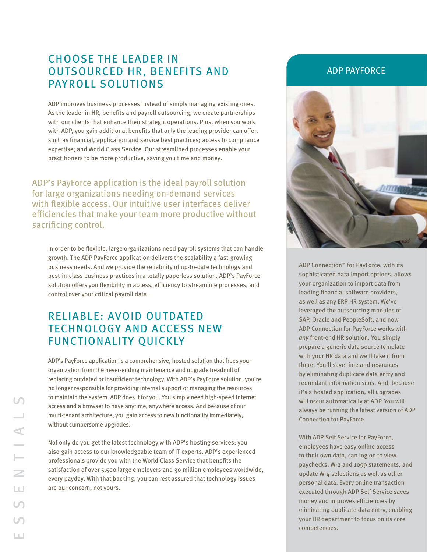# CHOOSE THE LEADER IN OUTSOURCED HR, benefits AND payroll SOLUTIONS

ADP improves business processes instead of simply managing existing ones. As the leader in HR, benefits and payroll outsourcing, we create partnerships with our clients that enhance their strategic operations. Plus, when you work with ADP, you gain additional benefits that only the leading provider can offer, such as financial, application and service best practices; access to compliance expertise; and World Class Service. Our streamlined processes enable your practitioners to be more productive, saving you time and money.

ADP's PayForce application is the ideal payroll solution for large organizations needing on-demand services with flexible access. Our intuitive user interfaces deliver efficiencies that make your team more productive without sacrificing control.

In order to be flexible, large organizations need payroll systems that can handle growth. The ADP PayForce application delivers the scalability a fast-growing business needs. And we provide the reliability of up-to-date technology and best-in-class business practices in a totally paperless solution. ADP's PayForce solution offers you flexibility in access, efficiency to streamline processes, and control over your critical payroll data.

# RELIABLE: Avoid Outdated Technology and Access New Functionality Quickly

ADP's PayForce application is a comprehensive, hosted solution that frees your organization from the never-ending maintenance and upgrade treadmill of replacing outdated or insufficient technology. With ADP's PayForce solution, you're no longer responsible for providing internal support or managing the resources to maintain the system. ADP does it for you. You simply need high-speed Internet access and a browser to have anytime, anywhere access. And because of our multi-tenant architecture, you gain access to new functionality immediately, without cumbersome upgrades.

Not only do you get the latest technology with ADP's hosting services; you also gain access to our knowledgeable team of IT experts. ADP's experienced professionals provide you with the World Class Service that benefits the satisfaction of over 5,500 large employers and 30 million employees worldwide, every payday. With that backing, you can rest assured that technology issues are our concern, not yours.

## ADP PAYFORCE



ADP Connection™ for PayForce, with its sophisticated data import options, allows your organization to import data from leading financial software providers, as well as any ERP HR system. We've leveraged the outsourcing modules of SAP, Oracle and PeopleSoft, and now ADP Connection for PayForce works with *any* front-end HR solution. You simply prepare a generic data source template with your HR data and we'll take it from there. You'll save time and resources by eliminating duplicate data entry and redundant information silos. And, because it's a hosted application, all upgrades will occur automatically at ADP. You will always be running the latest version of ADP Connection for PayForce.

With ADP Self Service for PayForce, employees have easy online access to their own data, can log on to view paychecks, W-2 and 1099 statements, and update W-4 selections as well as other personal data. Every online transaction executed through ADP Self Service saves money and improves efficiencies by eliminating duplicate data entry, enabling your HR department to focus on its core competencies.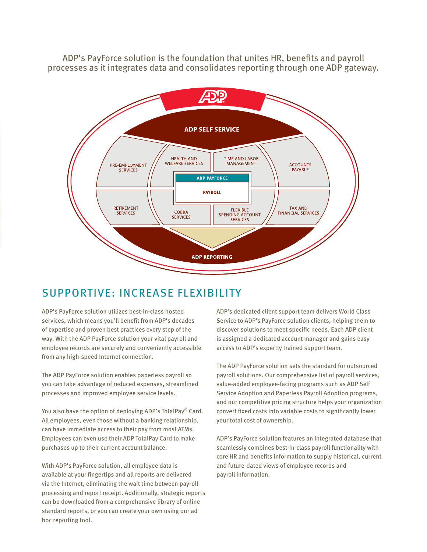ADP's PayForce solution is the foundation that unites HR, benefits and payroll processes as it integrates data and consolidates reporting through one ADP gateway.



# SUPPORTIVE: Increase Flexibility

ADP's PayForce solution utilizes best-in-class hosted services, which means you'll benefit from ADP's decades of expertise and proven best practices every step of the way. With the ADP PayForce solution your vital payroll and employee records are securely and conveniently accessible from any high-speed Internet connection.

The ADP PayForce solution enables paperless payroll so you can take advantage of reduced expenses, streamlined processes and improved employee service levels.

You also have the option of deploying ADP's TotalPay® Card. All employees, even those without a banking relationship, can have immediate access to their pay from most ATMs. Employees can even use their ADP TotalPay Card to make purchases up to their current account balance.

With ADP's PayForce solution, all employee data is available at your fingertips and all reports are delivered via the Internet, eliminating the wait time between payroll processing and report receipt. Additionally, strategic reports can be downloaded from a comprehensive library of online standard reports, or you can create your own using our ad hoc reporting tool.

ADP's dedicated client support team delivers World Class Service to ADP's PayForce solution clients, helping them to discover solutions to meet specific needs. Each ADP client is assigned a dedicated account manager and gains easy access to ADP's expertly trained support team.

The ADP PayForce solution sets the standard for outsourced payroll solutions. Our comprehensive list of payroll services, value-added employee-facing programs such as ADP Self Service Adoption and Paperless Payroll Adoption programs, and our competitive pricing structure helps your organization convert fixed costs into variable costs to significantly lower your total cost of ownership.

ADP's PayForce solution features an integrated database that seamlessly combines best-in-class payroll functionality with core HR and benefits information to supply historical, current and future-dated views of employee records and payroll information.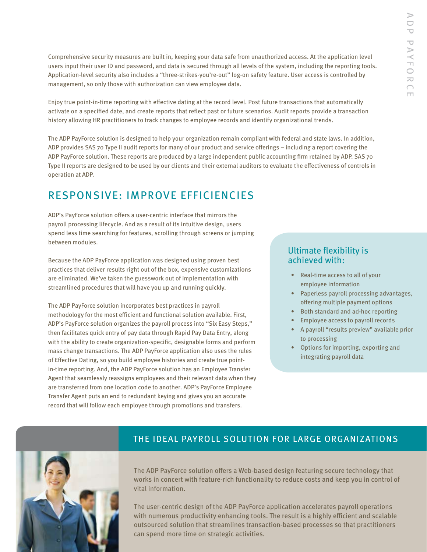Comprehensive security measures are built in, keeping your data safe from unauthorized access. At the application level users input their user ID and password, and data is secured through all levels of the system, including the reporting tools. Application-level security also includes a "three-strikes-you're-out" log-on safety feature. User access is controlled by management, so only those with authorization can view employee data.

Enjoy true point-in-time reporting with effective dating at the record level. Post future transactions that automatically activate on a specified date, and create reports that reflect past or future scenarios. Audit reports provide a transaction history allowing HR practitioners to track changes to employee records and identify organizational trends.

The ADP PayForce solution is designed to help your organization remain compliant with federal and state laws. In addition, ADP provides SAS 70 Type II audit reports for many of our product and service offerings – including a report covering the ADP PayForce solution. These reports are produced by a large independent public accounting firm retained by ADP. SAS 70 Type II reports are designed to be used by our clients and their external auditors to evaluate the effectiveness of controls in operation at ADP.

# RESPONSIVE: Improve Efficiencies

ADP's PayForce solution offers a user-centric interface that mirrors the payroll processing lifecycle. And as a result of its intuitive design, users spend less time searching for features, scrolling through screens or jumping between modules.

Because the ADP PayForce application was designed using proven best practices that deliver results right out of the box, expensive customizations are eliminated. We've taken the guesswork out of implementation with streamlined procedures that will have you up and running quickly.

The ADP PayForce solution incorporates best practices in payroll methodology for the most efficient and functional solution available. First, ADP's PayForce solution organizes the payroll process into "Six Easy Steps," then facilitates quick entry of pay data through Rapid Pay Data Entry, along with the ability to create organization-specific, designable forms and perform mass change transactions. The ADP PayForce application also uses the rules of Effective Dating, so you build employee histories and create true pointin-time reporting. And, the ADP PayForce solution has an Employee Transfer Agent that seamlessly reassigns employees and their relevant data when they are transferred from one location code to another. ADP's PayForce Employee Transfer Agent puts an end to redundant keying and gives you an accurate record that will follow each employee through promotions and transfers.

## Ultimate flexibility is achieved with:

- Real-time access to all of your employee information
- Paperless payroll processing advantages, offering multiple payment options
- Both standard and ad-hoc reporting
- Employee access to payroll records •
- A payroll "results preview" available prior to processing
- Options for importing, exporting and integrating payroll data



## the ideal payroll solution for large organizations

The ADP PayForce solution offers a Web-based design featuring secure technology that works in concert with feature-rich functionality to reduce costs and keep you in control of vital information.

The user-centric design of the ADP PayForce application accelerates payroll operations with numerous productivity enhancing tools. The result is a highly efficient and scalable outsourced solution that streamlines transaction-based processes so that practitioners can spend more time on strategic activities.